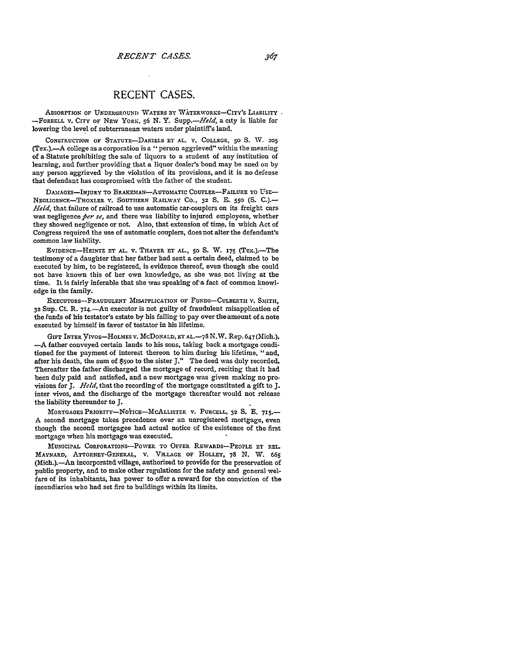## **RECENT CASES.**

ABSORPTION *OF* **UNDERGROUND** WATERS BY WATERWORKS-CITY'S LIABILITY **-FORBELL** V. CITY **OF NEW** YORK, **56 N.** Y. *Supp.-Held,* a city is liable for lowering the level of subterranean waters under plaintiff's land.

**CONSTRUCTION OF STATUTE-DANIELS ET** *AL.* **V. COLLEGE, 50 S.** W. **205** (Tex.).-A college as a corporation is a "person aggrieved" within the meaning of a Statute prohibiting the sale of liquors to a student of any institution of learning, and further providing that a liquor dealer's bond may be sued on by any person aggrieved **by** the violation of its provisions, and it is no defense that defendant has compromised with the father of the student.

DAMAGES-INJURY TO BRAKEMAN-AUTOMATIC COUPLER-FAILURE TO USE-NEGLIGENCE-THOXLER V. **SOUTHERN** RAILWAY **Co., 32** S. **E. 550 (S. C.).-** *Held,* that failure of railroad to use automatic car-couplers on its freight cars was negligence per se, and there was liability to injured employees, whether they showed negligence or not. Also, that extension of time. in which Act of Congress required the use of automatic couplers, does not alter the defendant's common law liability.

EVIDENCE-HEINTZ **ET AL.** v. THAYER **ET** AL., **50 S.** W. **175** (Tex.).-The testimony of a daughter that her father had sent a certain deed, claimed to be executed by him, to be registered, is evidence thereof, even though she could not have known this of her own knowledge, as she was not living at the time. It is fairly inferable that she was speaking of'a fact of common knowledge in the family.

**EXECUTORS-FRAUDULENT MISAPPLICATION OF FUNDS-CULBERTH V.** SMITH, **32 Sup. CL** R. 714.-An executor is not guilty of fraudulent misapplication of the funds of his testator's estate by his failing to pay over the amount of a note executed by himself in favor of testator in his lifetime.

GIFT INTER VIvos-HOLMES **V. McDONALD, ET AL.-78 N.W.** Rep. 647 (Mich.). **-A** father conveyed certain lands to his sons, taking back a mortgage conditioned for the payment of interest thereon to him during his lifetime, "and, after his death, the sum of \$5oo to the sister **J."** The deed was duly recorded. Thereafter the father discharged the mortgage of record, reciting that it had been duly paid and satisfied, and a new mortgage was given making no provisions for *J. Hed,* that the recording of the mortgage constituted a gift to **J.** inter vivos, and the discharge of the mortgage thereafter would not release the liability thereunder to **J.**

MORTGAGES PRIORITY-NOTICE-MCALLISTER V. PURCELL, 32 S. E. 715.-**A** second mortgage takes precedence over an unregistered mortgage, even though the second mortgagee had actual notice of the existence **of** the first mortgage when his mortgage was executed.

**MUNICIPAL CORPORATIONS-POWER** TO OFFER REWARDS-PEOPLE ET **EEL.** MAYNARD, ATTORNEY-GENERAL, **V. VILLAGE** OF HOLLEY, **78** N. W. 665 (Mich.).-An incorporated village, authorized to provide for the preservation of public property, and to make other regulations for the safety and general welfare of its inhabitants, has power to offer a reward for the conviction of the incendiaries who had set fire to buildings within its limits.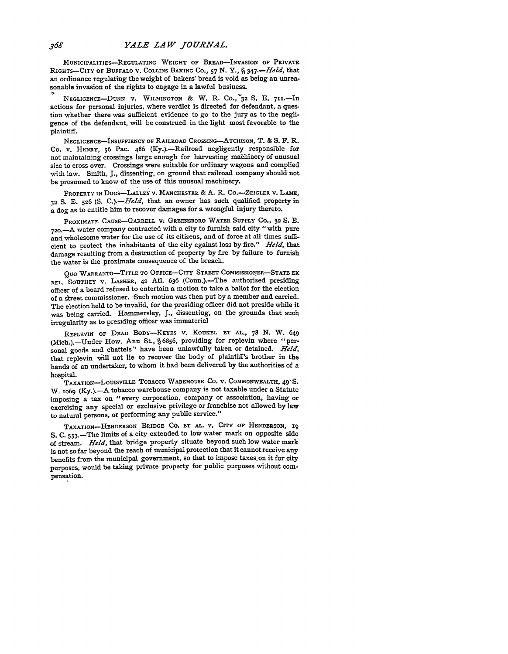**MUNICIPALITIES-REGULATING** WEIGHT OF BREAD-INVASION **OF** PRIVATE RIGHTS-CITY OF BUFFALO **V.** COLLINS **BAKING Co., 57** *N. Y.,* **q** *347.-Held,* that an ordinance regulating the weight of bakers' bread is void as being an unreasonable invasion of the rights to engage in a lawful business.

**NEGLIGENCE-DUNN V.** WILMINGTON **&** W. R. **Co., '32 S. E. 711.-In** actions for personal injuries, where verdict is directed for defendant, a question whether there was sufficient evidence to go to the jury as to the negligence of the defendant, will be construed in the light most favorable to the plaintiff.

**NEGLIGENCE-NSUFFIENCY OF** RAILROAD CROSSING-ATCHISON, T. **& S.** F. R. Co. v. HENRY, **56** Pac. 486 (Ky.).-Railroad negligently responsible for not maintaining crossings large enough for harvesting mabhinery of unusual size to cross over. Crossings were suitable for ordinary wagons and complied with law. Smith, **J.,** dissenting, on ground that railroad company should not be presumed to know of the use of this unusual machinery.

PROPERTY **IN** DOGs-LLLEY v. **MANCHESTER** & **A.** R. CO.-ZEIGLER **v.** LAME, **32 S. E. 526 (S.** *C.).-Held,* that an owner has such qualified property in a dog as to entitle him to recover damages for a wrongful injury thereto.

PROXIMATE **CAUsE-GARRELL** *V.* GREENSBORO WATER **SUPPLY** Co., **32 S. E. <sup>7</sup> 20.-A** water company contracted with a city to furnish said city "with pure and wholesome water for the use of its citizens, and of force at all times sufficient to protect the inhabitants of the city against loss **by** fire." *Held,* that damage resulting from a destruction of property **by** fire **by** failure to furnish the water is the proximate consequence of the breach.

**QUO** WAERANTO-TITLE TO **OFFICE-CITY STREET COMMISSIONER-STATE EX** REL. SOUTHEY V. LASHER, 42 Atl. 636 (Conn.).-The authorized presiding officer of a board refused to entertain a motion to take a ballot for the election of a street commissioner. Such motion was then put by a member and carried. The election held to **be** invalid, for the presiding officer did not preside while it was being carried. Hammersley, *J.,* dissenting, on the grounds that such irregularity as to presiding officer was immaterial

REPLEVIN OF **DEAD** BODY-KEYES **V. KOUKEL ET AL., 78 N.** W. 649 (Mich.).-Under How. Ann St., § 6856, providing for replevin where "personal goods and chattels" have been unlawfully taken or detained. Held, that replevin will not lie to recover the body of plaintiff's brother in the hands of an undertaker, to whom it had been delivered **by** the authorities of a hospital.

**TAXATIoN-LouISvILLE TOBACCO WAREHOUSE Co. V. COMMONWEALTH,** 49-S. W. 1069 (Ky.).-A tobacco warehouse company is not taxable under a Statute imposing a tax on "every corporation, company or association, having or exercising any special or exclusive privilege or franchise not allowed **by** law to natural persons, or performing any public service."

TAXATION-HENDERSON **BRIDGE CO. ET AL. V.** CITY **OF HENDERSON, 19** S. C. 553.-The limits of a city extended to low water mark on opposite side of stream. *Held,* that bridge property situate beyond such low water mark is not so far beyond the reach of municipal protection that it cannot receive any benefits from the municipal government, so that to impose taxes. on it for city purposes, would be taking private property for public purposes without compensation.

368